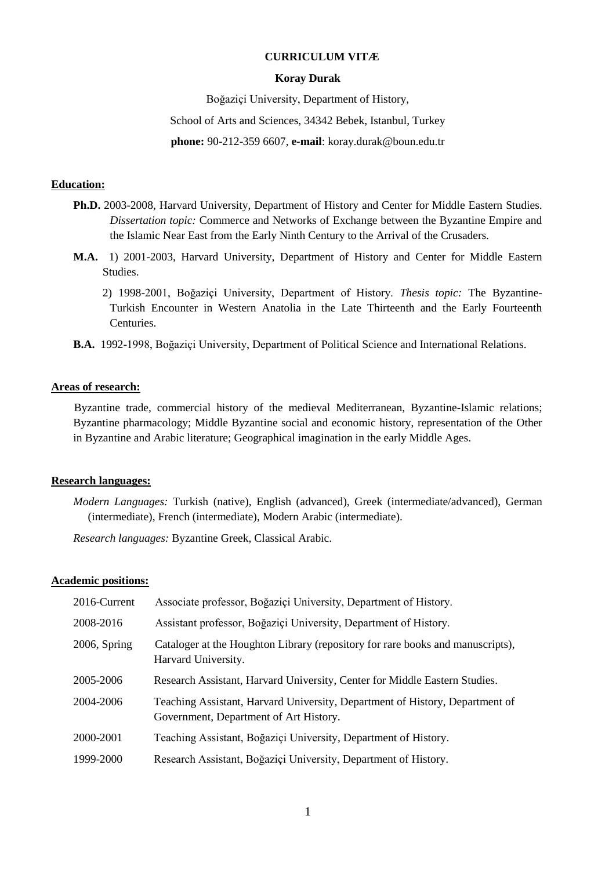#### **CURRICULUM VITÆ**

#### **Koray Durak**

Boğaziçi University, Department of History,

School of Arts and Sciences, 34342 Bebek, Istanbul, Turkey

**phone:** 90-212-359 6607, **e-mail**: koray.durak@boun.edu.tr

#### **Education:**

- **Ph.D.** 2003-2008, Harvard University, Department of History and Center for Middle Eastern Studies. *Dissertation topic:* Commerce and Networks of Exchange between the Byzantine Empire and the Islamic Near East from the Early Ninth Century to the Arrival of the Crusaders.
- **M.A.** 1) 2001-2003, Harvard University, Department of History and Center for Middle Eastern Studies.
	- 2) 1998-2001, Boğaziçi University, Department of History. *Thesis topic:* The Byzantine-Turkish Encounter in Western Anatolia in the Late Thirteenth and the Early Fourteenth Centuries.
- **B.A.** 1992-1998, Boğaziçi University, Department of Political Science and International Relations.

### **Areas of research:**

 Byzantine trade, commercial history of the medieval Mediterranean, Byzantine-Islamic relations; Byzantine pharmacology; Middle Byzantine social and economic history, representation of the Other in Byzantine and Arabic literature; Geographical imagination in the early Middle Ages.

#### **Research languages:**

*Modern Languages:* Turkish (native), English (advanced), Greek (intermediate/advanced), German (intermediate), French (intermediate), Modern Arabic (intermediate).

*Research languages:* Byzantine Greek, Classical Arabic.

#### **Academic positions:**

| 2016-Current    | Associate professor, Boğaziçi University, Department of History.                                                       |
|-----------------|------------------------------------------------------------------------------------------------------------------------|
| 2008-2016       | Assistant professor, Boğaziçi University, Department of History.                                                       |
| $2006$ , Spring | Cataloger at the Houghton Library (repository for rare books and manuscripts),<br>Harvard University.                  |
| 2005-2006       | Research Assistant, Harvard University, Center for Middle Eastern Studies.                                             |
| 2004-2006       | Teaching Assistant, Harvard University, Department of History, Department of<br>Government, Department of Art History. |
| 2000-2001       | Teaching Assistant, Boğaziçi University, Department of History.                                                        |
| 1999-2000       | Research Assistant, Boğaziçi University, Department of History.                                                        |
|                 |                                                                                                                        |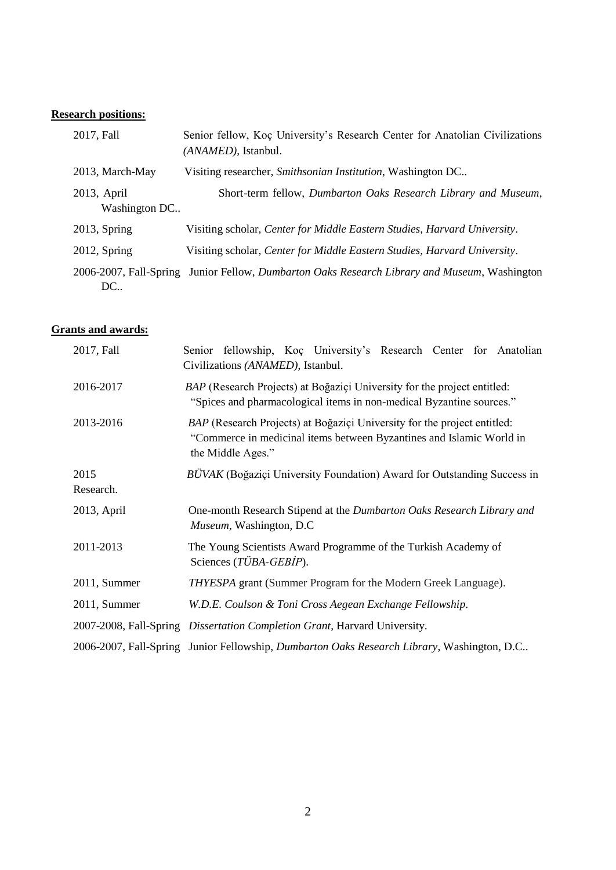# **Research positions:**

| 2017, Fall                   | Senior fellow, Koç University's Research Center for Anatolian Civilizations<br>(ANAMED), Istanbul. |
|------------------------------|----------------------------------------------------------------------------------------------------|
| 2013, March-May              | Visiting researcher, Smithsonian Institution, Washington DC                                        |
| 2013, April<br>Washington DC | Short-term fellow, Dumbarton Oaks Research Library and Museum,                                     |
| $2013$ , Spring              | Visiting scholar, Center for Middle Eastern Studies, Harvard University.                           |
| $2012$ , Spring              | Visiting scholar, Center for Middle Eastern Studies, Harvard University.                           |
| DC                           | 2006-2007, Fall-Spring Junior Fellow, Dumbarton Oaks Research Library and Museum, Washington       |

# **Grants and awards:**

| 2017, Fall        | Senior fellowship, Koç University's Research Center for Anatolian<br>Civilizations (ANAMED), Istanbul.                                                                |
|-------------------|-----------------------------------------------------------------------------------------------------------------------------------------------------------------------|
| 2016-2017         | BAP (Research Projects) at Boğaziçi University for the project entitled:<br>"Spices and pharmacological items in non-medical Byzantine sources."                      |
| 2013-2016         | BAP (Research Projects) at Boğaziçi University for the project entitled:<br>"Commerce in medicinal items between Byzantines and Islamic World in<br>the Middle Ages." |
| 2015<br>Research. | <i>BÜVAK</i> (Boğaziçi University Foundation) Award for Outstanding Success in                                                                                        |
| 2013, April       | One-month Research Stipend at the Dumbarton Oaks Research Library and<br>Museum, Washington, D.C.                                                                     |
| 2011-2013         | The Young Scientists Award Programme of the Turkish Academy of<br>Sciences (TÜBA-GEBIP).                                                                              |
| 2011, Summer      | THYESPA grant (Summer Program for the Modern Greek Language).                                                                                                         |
| 2011, Summer      | W.D.E. Coulson & Toni Cross Aegean Exchange Fellowship.                                                                                                               |
|                   | 2007-2008, Fall-Spring Dissertation Completion Grant, Harvard University.                                                                                             |
|                   | 2006-2007, Fall-Spring Junior Fellowship, Dumbarton Oaks Research Library, Washington, D.C                                                                            |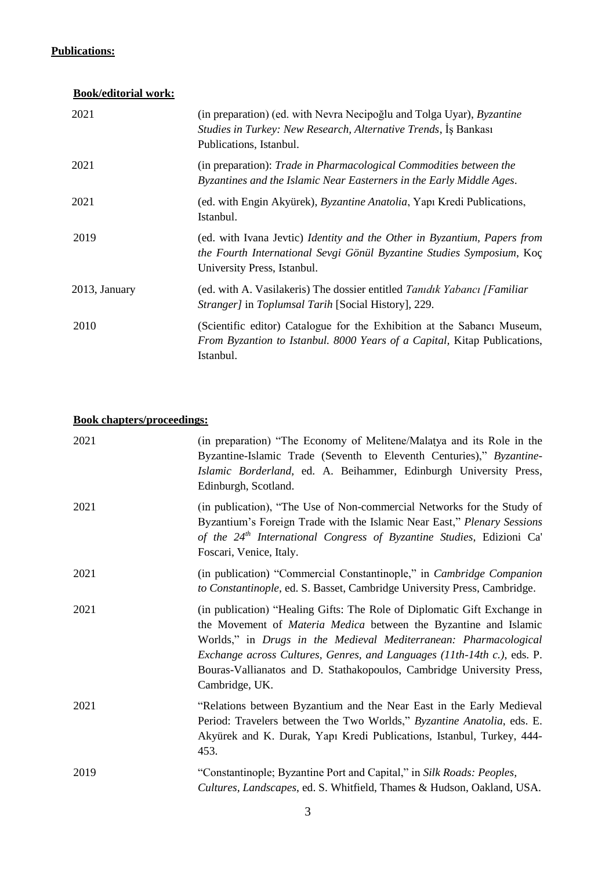## **Publications:**

# **Book/editorial work:**

| 2021          | (in preparation) (ed. with Nevra Necipoğlu and Tolga Uyar), <i>Byzantine</i><br>Studies in Turkey: New Research, Alternative Trends, Is Bankası<br>Publications, Istanbul.       |
|---------------|----------------------------------------------------------------------------------------------------------------------------------------------------------------------------------|
| 2021          | (in preparation): Trade in Pharmacological Commodities between the<br>Byzantines and the Islamic Near Easterners in the Early Middle Ages.                                       |
| 2021          | (ed. with Engin Akyürek), <i>Byzantine Anatolia</i> , Yapı Kredi Publications,<br>Istanbul.                                                                                      |
| 2019          | (ed. with Ivana Jevtic) Identity and the Other in Byzantium, Papers from<br>the Fourth International Sevgi Gönül Byzantine Studies Symposium, Koç<br>University Press, Istanbul. |
| 2013, January | (ed. with A. Vasilakeris) The dossier entitled Tanidik Yabancı [Familiar]<br><i>Stranger]</i> in <i>Toplumsal Tarih</i> [Social History], 229.                                   |
| 2010          | (Scientific editor) Catalogue for the Exhibition at the Sabanci Museum,<br>From Byzantion to Istanbul. 8000 Years of a Capital, Kitap Publications,<br>Istanbul.                 |

# **Book chapters/proceedings:**

| 2021 | (in preparation) "The Economy of Melitene/Malatya and its Role in the<br>Byzantine-Islamic Trade (Seventh to Eleventh Centuries)," Byzantine-<br>Islamic Borderland, ed. A. Beihammer, Edinburgh University Press,<br>Edinburgh, Scotland.                                                                                                                                                    |
|------|-----------------------------------------------------------------------------------------------------------------------------------------------------------------------------------------------------------------------------------------------------------------------------------------------------------------------------------------------------------------------------------------------|
| 2021 | (in publication), "The Use of Non-commercial Networks for the Study of<br>Byzantium's Foreign Trade with the Islamic Near East," Plenary Sessions<br>of the $24th$ International Congress of Byzantine Studies, Edizioni Ca'<br>Foscari, Venice, Italy.                                                                                                                                       |
| 2021 | (in publication) "Commercial Constantinople," in <i>Cambridge Companion</i><br>to Constantinople, ed. S. Basset, Cambridge University Press, Cambridge.                                                                                                                                                                                                                                       |
| 2021 | (in publication) "Healing Gifts: The Role of Diplomatic Gift Exchange in<br>the Movement of <i>Materia Medica</i> between the Byzantine and Islamic<br>Worlds," in Drugs in the Medieval Mediterranean: Pharmacological<br>Exchange across Cultures, Genres, and Languages (11th-14th c.), eds. P.<br>Bouras-Vallianatos and D. Stathakopoulos, Cambridge University Press,<br>Cambridge, UK. |
| 2021 | "Relations between Byzantium and the Near East in the Early Medieval<br>Period: Travelers between the Two Worlds," Byzantine Anatolia, eds. E.<br>Akyürek and K. Durak, Yapı Kredi Publications, Istanbul, Turkey, 444-<br>453.                                                                                                                                                               |
| 2019 | "Constantinople; Byzantine Port and Capital," in Silk Roads: Peoples,<br>Cultures, Landscapes, ed. S. Whitfield, Thames & Hudson, Oakland, USA.                                                                                                                                                                                                                                               |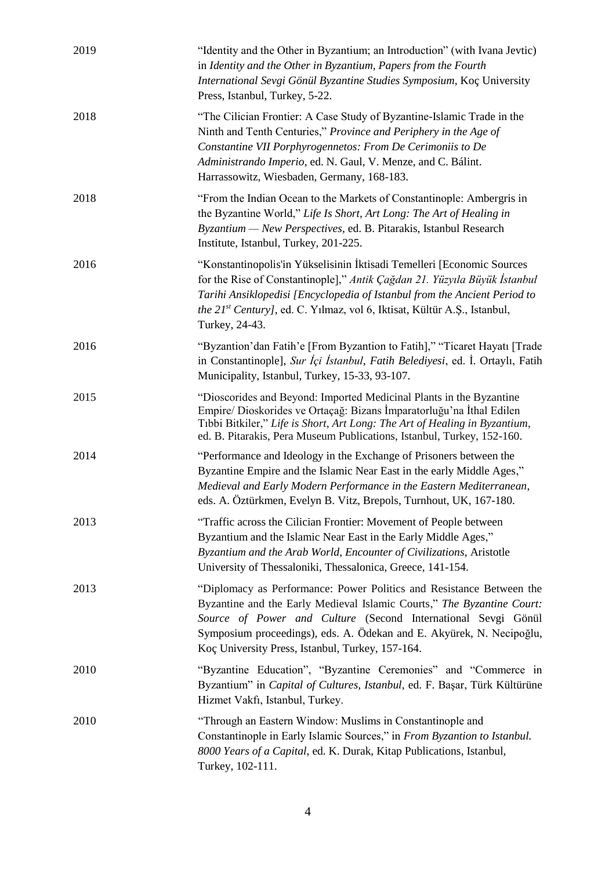| 2019 | "Identity and the Other in Byzantium; an Introduction" (with Ivana Jevtic)<br>in Identity and the Other in Byzantium, Papers from the Fourth<br>International Sevgi Gönül Byzantine Studies Symposium, Koç University<br>Press, Istanbul, Turkey, 5-22.                                                                                     |
|------|---------------------------------------------------------------------------------------------------------------------------------------------------------------------------------------------------------------------------------------------------------------------------------------------------------------------------------------------|
| 2018 | "The Cilician Frontier: A Case Study of Byzantine-Islamic Trade in the<br>Ninth and Tenth Centuries," Province and Periphery in the Age of<br>Constantine VII Porphyrogennetos: From De Cerimoniis to De<br>Administrando Imperio, ed. N. Gaul, V. Menze, and C. Bálint.<br>Harrassowitz, Wiesbaden, Germany, 168-183.                      |
| 2018 | "From the Indian Ocean to the Markets of Constantinople: Ambergris in<br>the Byzantine World," Life Is Short, Art Long: The Art of Healing in<br>Byzantium — New Perspectives, ed. B. Pitarakis, Istanbul Research<br>Institute, Istanbul, Turkey, 201-225.                                                                                 |
| 2016 | "Konstantinopolis'in Yükselisinin İktisadi Temelleri [Economic Sources<br>for the Rise of Constantinople]," Antik Çağdan 21. Yüzyıla Büyük İstanbul<br>Tarihi Ansiklopedisi [Encyclopedia of Istanbul from the Ancient Period to<br>the 21 <sup>st</sup> Century], ed. C. Yılmaz, vol 6, Iktisat, Kültür A.Ş., Istanbul,<br>Turkey, 24-43.  |
| 2016 | "Byzantion'dan Fatih'e [From Byzantion to Fatih]," "Ticaret Hayatı [Trade<br>in Constantinople], Sur İçi İstanbul, Fatih Belediyesi, ed. İ. Ortaylı, Fatih<br>Municipality, Istanbul, Turkey, 15-33, 93-107.                                                                                                                                |
| 2015 | "Dioscorides and Beyond: Imported Medicinal Plants in the Byzantine<br>Empire/ Dioskorides ve Ortaçağ: Bizans İmparatorluğu'na İthal Edilen<br>Tibbi Bitkiler," Life is Short, Art Long: The Art of Healing in Byzantium,<br>ed. B. Pitarakis, Pera Museum Publications, Istanbul, Turkey, 152-160.                                         |
| 2014 | "Performance and Ideology in the Exchange of Prisoners between the<br>Byzantine Empire and the Islamic Near East in the early Middle Ages,"<br>Medieval and Early Modern Performance in the Eastern Mediterranean,<br>eds. A. Öztürkmen, Evelyn B. Vitz, Brepols, Turnhout, UK, 167-180.                                                    |
| 2013 | "Traffic across the Cilician Frontier: Movement of People between<br>Byzantium and the Islamic Near East in the Early Middle Ages,"<br>Byzantium and the Arab World, Encounter of Civilizations, Aristotle<br>University of Thessaloniki, Thessalonica, Greece, 141-154.                                                                    |
| 2013 | "Diplomacy as Performance: Power Politics and Resistance Between the<br>Byzantine and the Early Medieval Islamic Courts," The Byzantine Court:<br>Source of Power and Culture (Second International Sevgi Gönül<br>Symposium proceedings), eds. A. Ödekan and E. Akyürek, N. Necipoğlu,<br>Koç University Press, Istanbul, Turkey, 157-164. |
| 2010 | "Byzantine Education", "Byzantine Ceremonies" and "Commerce in<br>Byzantium" in Capital of Cultures, Istanbul, ed. F. Başar, Türk Kültürüne<br>Hizmet Vakfi, Istanbul, Turkey.                                                                                                                                                              |
| 2010 | "Through an Eastern Window: Muslims in Constantinople and<br>Constantinople in Early Islamic Sources," in From Byzantion to Istanbul.<br>8000 Years of a Capital, ed. K. Durak, Kitap Publications, Istanbul,<br>Turkey, 102-111.                                                                                                           |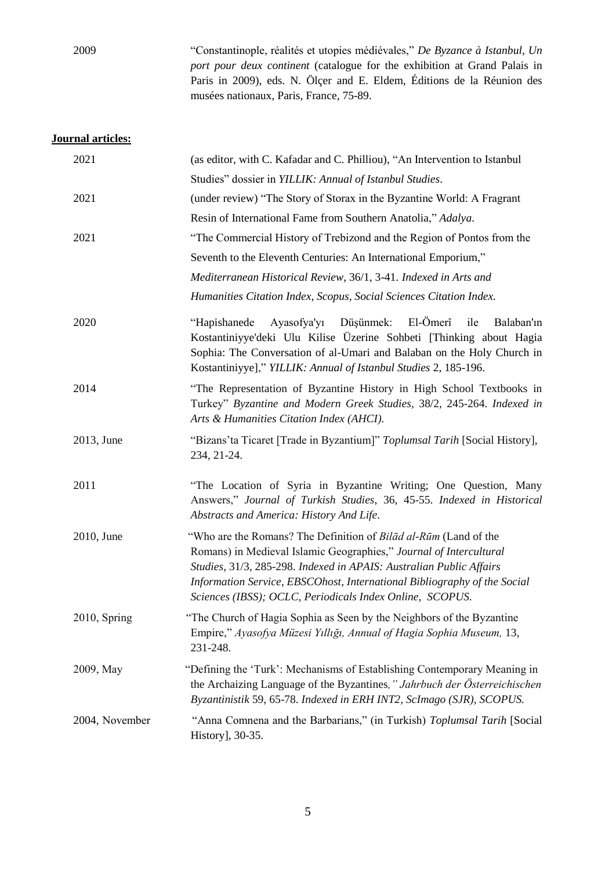2009 "Constantinople, réalités et utopies médiévales," *De Byzance à Istanbul, Un port pour deux continent* (catalogue for the exhibition at Grand Palais in Paris in 2009), eds. N. Ölçer and E. Eldem, Éditions de la Réunion des musées nationaux, Paris, France, 75-89.

### **Journal articles:**

| 2021           | (as editor, with C. Kafadar and C. Philliou), "An Intervention to Istanbul                                                                                                                                                                                                                                                                            |
|----------------|-------------------------------------------------------------------------------------------------------------------------------------------------------------------------------------------------------------------------------------------------------------------------------------------------------------------------------------------------------|
|                | Studies" dossier in YILLIK: Annual of Istanbul Studies.                                                                                                                                                                                                                                                                                               |
| 2021           | (under review) "The Story of Storax in the Byzantine World: A Fragrant                                                                                                                                                                                                                                                                                |
|                | Resin of International Fame from Southern Anatolia," Adalya.                                                                                                                                                                                                                                                                                          |
| 2021           | "The Commercial History of Trebizond and the Region of Pontos from the                                                                                                                                                                                                                                                                                |
|                | Seventh to the Eleventh Centuries: An International Emporium,"                                                                                                                                                                                                                                                                                        |
|                | Mediterranean Historical Review, 36/1, 3-41. Indexed in Arts and                                                                                                                                                                                                                                                                                      |
|                | Humanities Citation Index, Scopus, Social Sciences Citation Index.                                                                                                                                                                                                                                                                                    |
| 2020           | El-Ömerî<br>"Hapishanede Ayasofya'yı Düşünmek:<br>ile<br>Balaban'ın<br>Kostantiniyye'deki Ulu Kilise Üzerine Sohbeti [Thinking about Hagia<br>Sophia: The Conversation of al-Umari and Balaban on the Holy Church in<br>Kostantiniyye]," YILLIK: Annual of Istanbul Studies 2, 185-196.                                                               |
| 2014           | "The Representation of Byzantine History in High School Textbooks in<br>Turkey" Byzantine and Modern Greek Studies, 38/2, 245-264. Indexed in<br>Arts & Humanities Citation Index (AHCI).                                                                                                                                                             |
| 2013, June     | "Bizans'ta Ticaret [Trade in Byzantium]" Toplumsal Tarih [Social History],<br>234, 21-24.                                                                                                                                                                                                                                                             |
| 2011           | "The Location of Syria in Byzantine Writing; One Question, Many<br>Answers," Journal of Turkish Studies, 36, 45-55. Indexed in Historical<br>Abstracts and America: History And Life.                                                                                                                                                                 |
| 2010, June     | "Who are the Romans? The Definition of Bilād al-Rūm (Land of the<br>Romans) in Medieval Islamic Geographies," Journal of Intercultural<br>Studies, 31/3, 285-298. Indexed in APAIS: Australian Public Affairs<br>Information Service, EBSCOhost, International Bibliography of the Social<br>Sciences (IBSS); OCLC, Periodicals Index Online, SCOPUS. |
| 2010, Spring   | "The Church of Hagia Sophia as Seen by the Neighbors of the Byzantine<br>Empire," Ayasofya Müzesi Yıllığı, Annual of Hagia Sophia Museum, 13,<br>231-248.                                                                                                                                                                                             |
| 2009, May      | "Defining the 'Turk': Mechanisms of Establishing Contemporary Meaning in<br>the Archaizing Language of the Byzantines," Jahrbuch der Österreichischen<br>Byzantinistik 59, 65-78. Indexed in ERH INT2, ScImago (SJR), SCOPUS.                                                                                                                         |
| 2004, November | "Anna Comnena and the Barbarians," (in Turkish) Toplumsal Tarih [Social<br>History], 30-35.                                                                                                                                                                                                                                                           |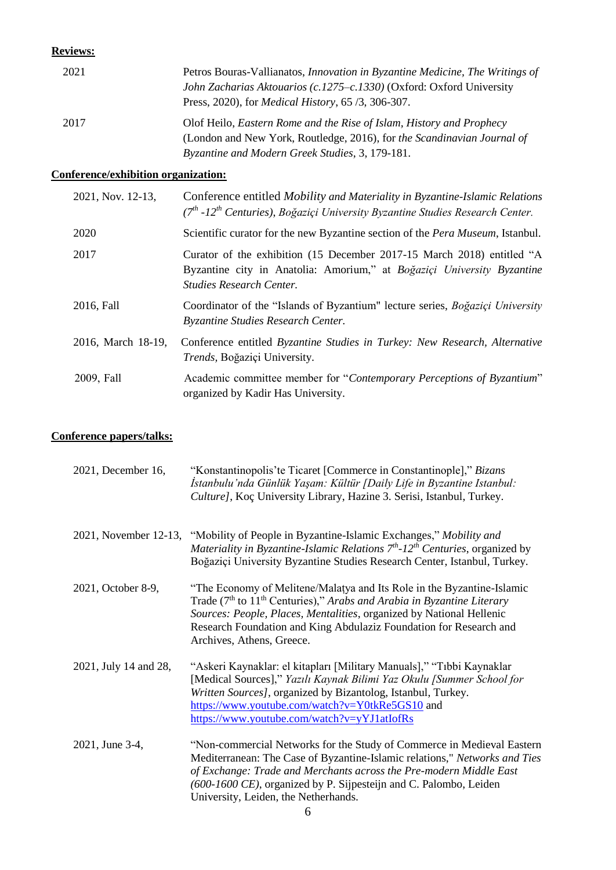#### **Reviews:**

| 2021 | Petros Bouras-Vallianatos, <i>Innovation in Byzantine Medicine</i> , <i>The Writings of</i><br>John Zacharias Aktouarios (c.1275–c.1330) (Oxford: Oxford University<br>Press, 2020), for <i>Medical History</i> , 65 /3, 306-307. |
|------|-----------------------------------------------------------------------------------------------------------------------------------------------------------------------------------------------------------------------------------|
| 2017 | Olof Heilo, Eastern Rome and the Rise of Islam, History and Prophecy<br>(London and New York, Routledge, 2016), for the Scandinavian Journal of<br>Byzantine and Modern Greek Studies, 3, 179-181.                                |

## **Conference/exhibition organization:**

| 2021, Nov. 12-13,  | Conference entitled Mobility and Materiality in Byzantine-Islamic Relations<br>(7 <sup>th</sup> -12 <sup>th</sup> Centuries), Boğaziçi University Byzantine Studies Research Center. |
|--------------------|--------------------------------------------------------------------------------------------------------------------------------------------------------------------------------------|
| 2020               | Scientific curator for the new Byzantine section of the Pera Museum, Istanbul.                                                                                                       |
| 2017               | Curator of the exhibition (15 December 2017-15 March 2018) entitled "A<br>Byzantine city in Anatolia: Amorium," at Boğaziçi University Byzantine<br>Studies Research Center.         |
| 2016, Fall         | Coordinator of the "Islands of Byzantium" lecture series, Boğaziçi University<br><b>Byzantine Studies Research Center.</b>                                                           |
| 2016, March 18-19, | Conference entitled Byzantine Studies in Turkey: New Research, Alternative<br><i>Trends</i> , Boğaziçi University.                                                                   |
| 2009, Fall         | Academic committee member for "Contemporary Perceptions of Byzantium"<br>organized by Kadir Has University.                                                                          |

## **Conference papers/talks:**

| 2021, December 16,    | "Konstantinopolis'te Ticaret [Commerce in Constantinople]," Bizans<br>İstanbulu'nda Günlük Yaşam: Kültür [Daily Life in Byzantine Istanbul:<br>Culture], Koç University Library, Hazine 3. Serisi, Istanbul, Turkey.                                                                                                                                |
|-----------------------|-----------------------------------------------------------------------------------------------------------------------------------------------------------------------------------------------------------------------------------------------------------------------------------------------------------------------------------------------------|
|                       | 2021, November 12-13, "Mobility of People in Byzantine-Islamic Exchanges," Mobility and<br>Materiality in Byzantine-Islamic Relations $7th$ -12 <sup>th</sup> Centuries, organized by<br>Boğaziçi University Byzantine Studies Research Center, Istanbul, Turkey.                                                                                   |
| 2021, October 8-9,    | "The Economy of Melitene/Malatya and Its Role in the Byzantine-Islamic<br>Trade (7 <sup>th</sup> to 11 <sup>th</sup> Centuries)," Arabs and Arabia in Byzantine Literary<br>Sources: People, Places, Mentalities, organized by National Hellenic<br>Research Foundation and King Abdulaziz Foundation for Research and<br>Archives, Athens, Greece. |
| 2021, July 14 and 28, | "Askeri Kaynaklar: el kitapları [Military Manuals]," "Tıbbi Kaynaklar<br>[Medical Sources]," Yazılı Kaynak Bilimi Yaz Okulu [Summer School for<br>Written Sources], organized by Bizantolog, Istanbul, Turkey.<br>https://www.youtube.com/watch?v=Y0tkRe5GS10 and<br>https://www.youtube.com/watch?v=yYJ1atIofRs                                    |
| 2021, June 3-4,       | "Non-commercial Networks for the Study of Commerce in Medieval Eastern<br>Mediterranean: The Case of Byzantine-Islamic relations," Networks and Ties<br>of Exchange: Trade and Merchants across the Pre-modern Middle East<br>(600-1600 CE), organized by P. Sijpesteijn and C. Palombo, Leiden<br>University, Leiden, the Netherhands.             |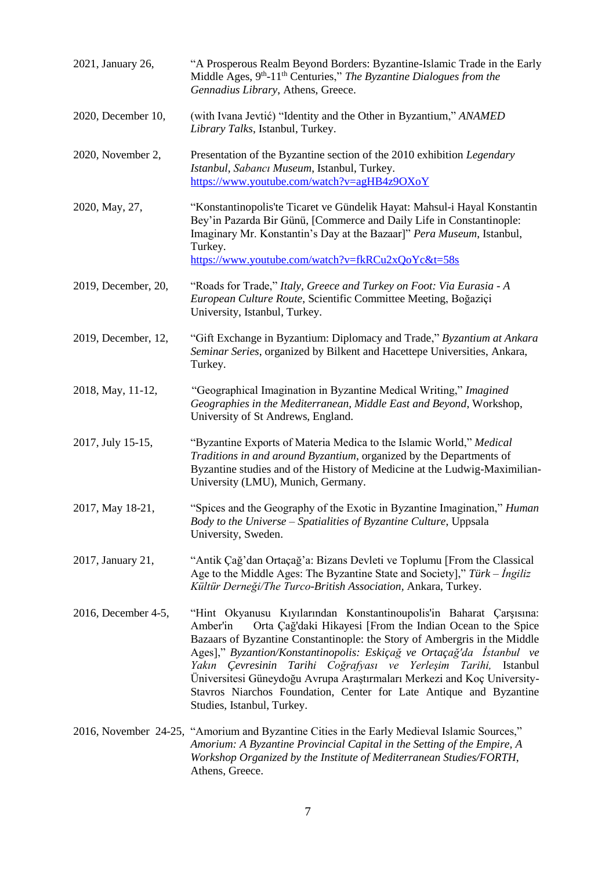| 2021, January 26,   | "A Prosperous Realm Beyond Borders: Byzantine-Islamic Trade in the Early<br>Middle Ages, 9 <sup>th</sup> -11 <sup>th</sup> Centuries," The Byzantine Dialogues from the<br>Gennadius Library, Athens, Greece.                                                                                                                                                                                                                                                                                                                                         |
|---------------------|-------------------------------------------------------------------------------------------------------------------------------------------------------------------------------------------------------------------------------------------------------------------------------------------------------------------------------------------------------------------------------------------------------------------------------------------------------------------------------------------------------------------------------------------------------|
| 2020, December 10,  | (with Ivana Jevtić) "Identity and the Other in Byzantium," ANAMED<br>Library Talks, Istanbul, Turkey.                                                                                                                                                                                                                                                                                                                                                                                                                                                 |
| 2020, November 2,   | Presentation of the Byzantine section of the 2010 exhibition Legendary<br>Istanbul, Sabancı Museum, Istanbul, Turkey.<br>https://www.youtube.com/watch?v=agHB4z9OXoY                                                                                                                                                                                                                                                                                                                                                                                  |
| 2020, May, 27,      | "Konstantinopolis'te Ticaret ve Gündelik Hayat: Mahsul-i Hayal Konstantin<br>Bey'in Pazarda Bir Günü, [Commerce and Daily Life in Constantinople:<br>Imaginary Mr. Konstantin's Day at the Bazaar]" Pera Museum, Istanbul,<br>Turkey.<br>https://www.youtube.com/watch?v=fkRCu2xQoYc&t=58s                                                                                                                                                                                                                                                            |
| 2019, December, 20, | "Roads for Trade," Italy, Greece and Turkey on Foot: Via Eurasia - A<br>European Culture Route, Scientific Committee Meeting, Boğaziçi<br>University, Istanbul, Turkey.                                                                                                                                                                                                                                                                                                                                                                               |
| 2019, December, 12, | "Gift Exchange in Byzantium: Diplomacy and Trade," Byzantium at Ankara<br>Seminar Series, organized by Bilkent and Hacettepe Universities, Ankara,<br>Turkey.                                                                                                                                                                                                                                                                                                                                                                                         |
| 2018, May, 11-12,   | "Geographical Imagination in Byzantine Medical Writing," Imagined<br>Geographies in the Mediterranean, Middle East and Beyond, Workshop,<br>University of St Andrews, England.                                                                                                                                                                                                                                                                                                                                                                        |
| 2017, July 15-15,   | "Byzantine Exports of Materia Medica to the Islamic World," Medical<br>Traditions in and around Byzantium, organized by the Departments of<br>Byzantine studies and of the History of Medicine at the Ludwig-Maximilian-<br>University (LMU), Munich, Germany.                                                                                                                                                                                                                                                                                        |
| 2017, May 18-21,    | "Spices and the Geography of the Exotic in Byzantine Imagination," Human<br>Body to the Universe - Spatialities of Byzantine Culture, Uppsala<br>University, Sweden.                                                                                                                                                                                                                                                                                                                                                                                  |
| 2017, January 21,   | "Antik Çağ'dan Ortaçağ'a: Bizans Devleti ve Toplumu [From the Classical<br>Age to the Middle Ages: The Byzantine State and Society]," Türk – Ingiliz<br>Kültür Derneği/The Turco-British Association, Ankara, Turkey.                                                                                                                                                                                                                                                                                                                                 |
| 2016, December 4-5, | "Hint Okyanusu Kıyılarından Konstantinoupolis'in Baharat Çarşısına:<br>Orta Çağ'daki Hikayesi [From the Indian Ocean to the Spice<br>Amber'in<br>Bazaars of Byzantine Constantinople: the Story of Ambergris in the Middle<br>Ages]," Byzantion/Konstantinopolis: Eskiçağ ve Ortaçağ'da İstanbul ve<br>Yakın Çevresinin Tarihi Coğrafyası ve Yerleşim Tarihi, Istanbul<br>Üniversitesi Güneydoğu Avrupa Araştırmaları Merkezi and Koç University-<br>Stavros Niarchos Foundation, Center for Late Antique and Byzantine<br>Studies, Istanbul, Turkey. |
|                     | 2016, November 24-25, "Amorium and Byzantine Cities in the Early Medieval Islamic Sources,"<br>Amorium: A Byzantine Provincial Capital in the Setting of the Empire, A<br>Workshop Organized by the Institute of Mediterranean Studies/FORTH,<br>Athens, Greece.                                                                                                                                                                                                                                                                                      |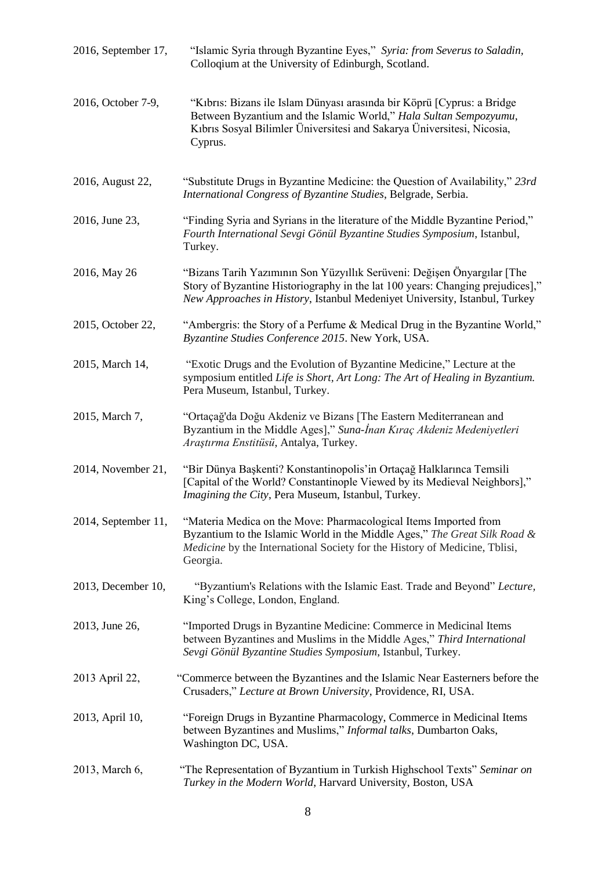| 2016, September 17, | "Islamic Syria through Byzantine Eyes," Syria: from Severus to Saladin,<br>Colloqium at the University of Edinburgh, Scotland.                                                                                                          |
|---------------------|-----------------------------------------------------------------------------------------------------------------------------------------------------------------------------------------------------------------------------------------|
| 2016, October 7-9,  | "Kıbrıs: Bizans ile Islam Dünyası arasında bir Köprü [Cyprus: a Bridge<br>Between Byzantium and the Islamic World," Hala Sultan Sempozyumu,<br>Kıbrıs Sosyal Bilimler Üniversitesi and Sakarya Üniversitesi, Nicosia,<br>Cyprus.        |
| 2016, August 22,    | "Substitute Drugs in Byzantine Medicine: the Question of Availability," 23rd<br>International Congress of Byzantine Studies, Belgrade, Serbia.                                                                                          |
| 2016, June 23,      | "Finding Syria and Syrians in the literature of the Middle Byzantine Period,"<br>Fourth International Sevgi Gönül Byzantine Studies Symposium, Istanbul,<br>Turkey.                                                                     |
| 2016, May 26        | "Bizans Tarih Yazımının Son Yüzyıllık Serüveni: Değişen Önyargılar [The<br>Story of Byzantine Historiography in the lat 100 years: Changing prejudices],"<br>New Approaches in History, Istanbul Medeniyet University, Istanbul, Turkey |
| 2015, October 22,   | "Ambergris: the Story of a Perfume & Medical Drug in the Byzantine World,"<br>Byzantine Studies Conference 2015. New York, USA.                                                                                                         |
| 2015, March 14,     | "Exotic Drugs and the Evolution of Byzantine Medicine," Lecture at the<br>symposium entitled Life is Short, Art Long: The Art of Healing in Byzantium.<br>Pera Museum, Istanbul, Turkey.                                                |
| 2015, March 7,      | "Ortaçağ'da Doğu Akdeniz ve Bizans [The Eastern Mediterranean and<br>Byzantium in the Middle Ages]," Suna-İnan Kıraç Akdeniz Medeniyetleri<br>Araştırma Enstitüsü, Antalya, Turkey.                                                     |
| 2014, November 21,  | "Bir Dünya Başkenti? Konstantinopolis'in Ortaçağ Halklarınca Temsili<br>[Capital of the World? Constantinople Viewed by its Medieval Neighbors],"<br>Imagining the City, Pera Museum, Istanbul, Turkey.                                 |
| 2014, September 11, | "Materia Medica on the Move: Pharmacological Items Imported from<br>Byzantium to the Islamic World in the Middle Ages," The Great Silk Road &<br>Medicine by the International Society for the History of Medicine, Tblisi,<br>Georgia. |
| 2013, December 10,  | "Byzantium's Relations with the Islamic East. Trade and Beyond" Lecture,<br>King's College, London, England.                                                                                                                            |
| 2013, June 26,      | "Imported Drugs in Byzantine Medicine: Commerce in Medicinal Items<br>between Byzantines and Muslims in the Middle Ages," Third International<br>Sevgi Gönül Byzantine Studies Symposium, Istanbul, Turkey.                             |
| 2013 April 22,      | "Commerce between the Byzantines and the Islamic Near Easterners before the<br>Crusaders," Lecture at Brown University, Providence, RI, USA.                                                                                            |
| 2013, April 10,     | "Foreign Drugs in Byzantine Pharmacology, Commerce in Medicinal Items<br>between Byzantines and Muslims," Informal talks, Dumbarton Oaks,<br>Washington DC, USA.                                                                        |
| 2013, March 6,      | "The Representation of Byzantium in Turkish Highschool Texts" Seminar on<br>Turkey in the Modern World, Harvard University, Boston, USA                                                                                                 |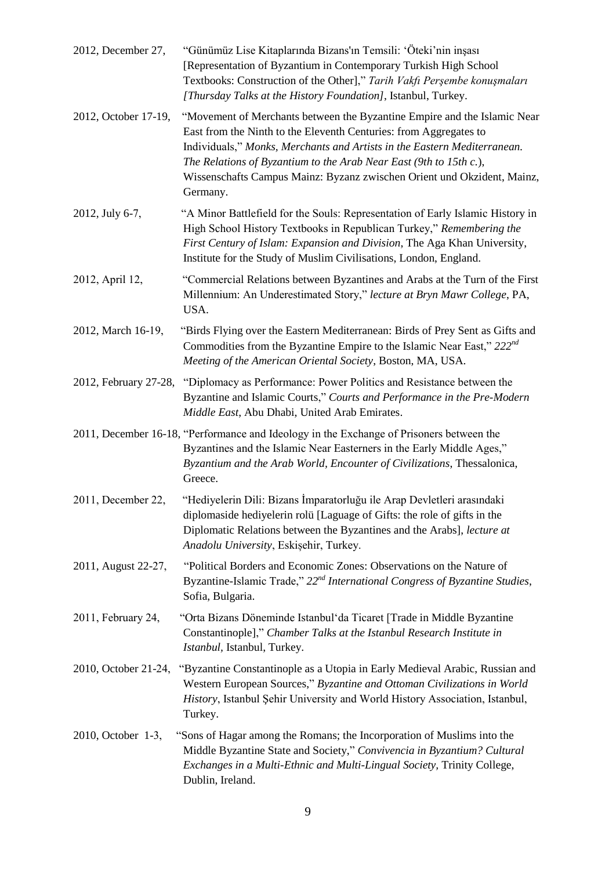| 2012, December 27,    | "Günümüz Lise Kitaplarında Bizans'ın Temsili: 'Öteki'nin inşası<br>[Representation of Byzantium in Contemporary Turkish High School<br>Textbooks: Construction of the Other]," Tarih Vakfi Perşembe konuşmaları<br>[Thursday Talks at the History Foundation], Istanbul, Turkey.                                                                                                       |
|-----------------------|----------------------------------------------------------------------------------------------------------------------------------------------------------------------------------------------------------------------------------------------------------------------------------------------------------------------------------------------------------------------------------------|
| 2012, October 17-19,  | "Movement of Merchants between the Byzantine Empire and the Islamic Near<br>East from the Ninth to the Eleventh Centuries: from Aggregates to<br>Individuals," Monks, Merchants and Artists in the Eastern Mediterranean.<br>The Relations of Byzantium to the Arab Near East (9th to 15th c.),<br>Wissenschafts Campus Mainz: Byzanz zwischen Orient und Okzident, Mainz,<br>Germany. |
| 2012, July 6-7,       | "A Minor Battlefield for the Souls: Representation of Early Islamic History in<br>High School History Textbooks in Republican Turkey," Remembering the<br>First Century of Islam: Expansion and Division, The Aga Khan University,<br>Institute for the Study of Muslim Civilisations, London, England.                                                                                |
| 2012, April 12,       | "Commercial Relations between Byzantines and Arabs at the Turn of the First<br>Millennium: An Underestimated Story," lecture at Bryn Mawr College, PA,<br>USA.                                                                                                                                                                                                                         |
| 2012, March 16-19,    | "Birds Flying over the Eastern Mediterranean: Birds of Prey Sent as Gifts and<br>Commodities from the Byzantine Empire to the Islamic Near East," $222^{nd}$<br>Meeting of the American Oriental Society, Boston, MA, USA.                                                                                                                                                             |
| 2012, February 27-28, | "Diplomacy as Performance: Power Politics and Resistance between the<br>Byzantine and Islamic Courts," Courts and Performance in the Pre-Modern<br>Middle East, Abu Dhabi, United Arab Emirates.                                                                                                                                                                                       |
|                       | 2011, December 16-18, "Performance and Ideology in the Exchange of Prisoners between the<br>Byzantines and the Islamic Near Easterners in the Early Middle Ages,"<br>Byzantium and the Arab World, Encounter of Civilizations, Thessalonica,<br>Greece.                                                                                                                                |
| 2011, December 22.    | "Hediyelerin Dili: Bizans İmparatorluğu ile Arap Devletleri arasındaki<br>diplomaside hediyelerin rolü [Laguage of Gifts: the role of gifts in the<br>Diplomatic Relations between the Byzantines and the Arabs], lecture at<br>Anadolu University, Eskişehir, Turkey.                                                                                                                 |
| 2011, August 22-27,   | "Political Borders and Economic Zones: Observations on the Nature of<br>Byzantine-Islamic Trade," 22 <sup>nd</sup> International Congress of Byzantine Studies,<br>Sofia, Bulgaria.                                                                                                                                                                                                    |
| 2011, February 24,    | "Orta Bizans Döneminde Istanbul'da Ticaret [Trade in Middle Byzantine<br>Constantinople]," Chamber Talks at the Istanbul Research Institute in<br>Istanbul, Istanbul, Turkey.                                                                                                                                                                                                          |
| 2010, October 21-24,  | "Byzantine Constantinople as a Utopia in Early Medieval Arabic, Russian and<br>Western European Sources," Byzantine and Ottoman Civilizations in World<br>History, Istanbul Şehir University and World History Association, Istanbul,<br>Turkey.                                                                                                                                       |
| 2010, October 1-3,    | "Sons of Hagar among the Romans; the Incorporation of Muslims into the<br>Middle Byzantine State and Society," Convivencia in Byzantium? Cultural<br>Exchanges in a Multi-Ethnic and Multi-Lingual Society, Trinity College,<br>Dublin, Ireland.                                                                                                                                       |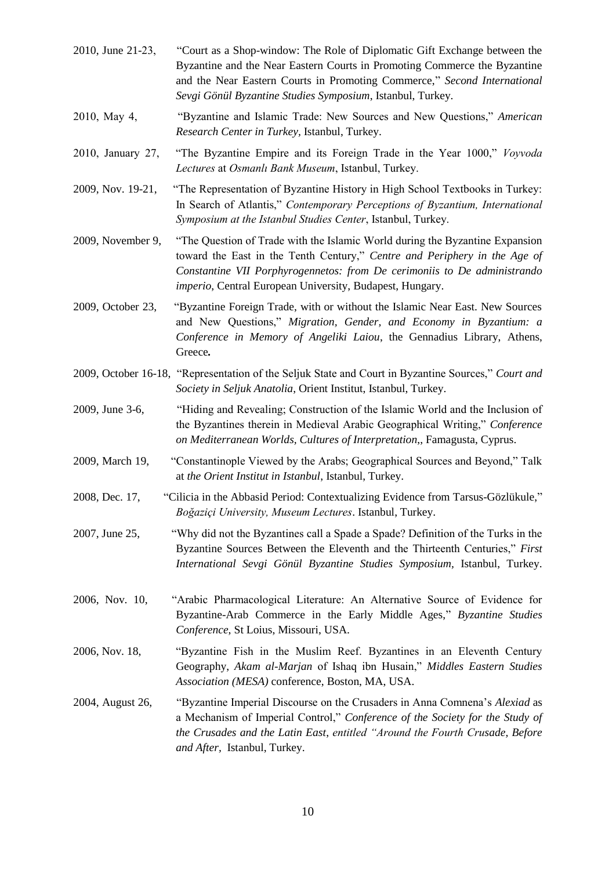- 2010, June 21-23, "Court as a Shop-window: The Role of Diplomatic Gift Exchange between the Byzantine and the Near Eastern Courts in Promoting Commerce the Byzantine and the Near Eastern Courts in Promoting Commerce," *Second International Sevgi Gönül Byzantine Studies Symposium*, Istanbul, Turkey. 2010, May 4, "Byzantine and Islamic Trade: New Sources and New Questions," *American Research Center in Turkey,* Istanbul, Turkey. 2010, January 27, "The Byzantine Empire and its Foreign Trade in the Year 1000," *Voyvoda Lectures* at *Osmanlı Bank Museum*, Istanbul, Turkey. 2009, Nov. 19-21, "The Representation of Byzantine History in High School Textbooks in Turkey: In Search of Atlantis," *Contemporary Perceptions of Byzantium, International Symposium at the Istanbul Studies Center*, Istanbul, Turkey. 2009, November 9, "The Question of Trade with the Islamic World during the Byzantine Expansion toward the East in the Tenth Century," *Centre and Periphery in the Age of Constantine VII Porphyrogennetos: from De cerimoniis to De administrando imperio*, Central European University, Budapest, Hungary. 2009, October 23, "Byzantine Foreign Trade, with or without the Islamic Near East. New Sources and New Questions," *Migration, Gender, and Economy in Byzantium: a Conference in Memory of Angeliki Laiou*, the Gennadius Library, Athens, Greece*.* 2009, October 16-18, "Representation of the Seljuk State and Court in Byzantine Sources," *Court and Society in Seljuk Anatolia*, Orient Institut, Istanbul, Turkey. 2009, June 3-6, "Hiding and Revealing; Construction of the Islamic World and the Inclusion of the Byzantines therein in Medieval Arabic Geographical Writing," *Conference on Mediterranean Worlds, Cultures of Interpretation*,, Famagusta, Cyprus. 2009, March 19, "Constantinople Viewed by the Arabs; Geographical Sources and Beyond," Talk at *the Orient Institut in Istanbul*, Istanbul, Turkey. 2008, Dec. 17, "Cilicia in the Abbasid Period: Contextualizing Evidence from Tarsus-Gözlükule," *Boğaziçi University, Museum Lectures*. Istanbul, Turkey. 2007, June 25, "Why did not the Byzantines call a Spade a Spade? Definition of the Turks in the Byzantine Sources Between the Eleventh and the Thirteenth Centuries," *First International Sevgi Gönül Byzantine Studies Symposium,* Istanbul, Turkey. 2006, Nov. 10, "Arabic Pharmacological Literature: An Alternative Source of Evidence for Byzantine-Arab Commerce in the Early Middle Ages," *Byzantine Studies Conference*, St Loius, Missouri, USA. 2006, Nov. 18, "Byzantine Fish in the Muslim Reef. Byzantines in an Eleventh Century Geography, *Akam al-Marjan* of Ishaq ibn Husain," *Middles Eastern Studies*
- 2004, August 26, "Byzantine Imperial Discourse on the Crusaders in Anna Comnena's *Alexiad* as a Mechanism of Imperial Control," *Conference of the Society for the Study of the Crusades and the Latin East*, *entitled "Around the Fourth Crusade, Before and After,* Istanbul, Turkey.

*Association (MESA)* conference, Boston, MA, USA.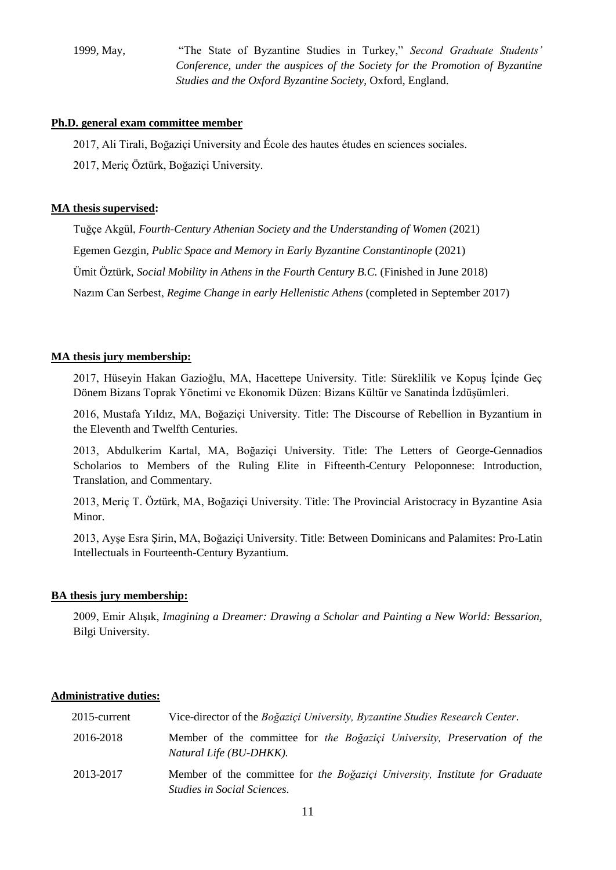1999, May, "The State of Byzantine Studies in Turkey," *Second Graduate Students' Conference, under the auspices of the Society for the Promotion of Byzantine Studies and the Oxford Byzantine Society*, Oxford, England.

### **Ph.D. general exam committee member**

2017, Ali Tirali, Boğaziçi University and École des hautes études en sciences sociales.

2017, Meriç Öztürk, Boğaziçi University.

### **MA thesis supervised:**

Tuğçe Akgül, *Fourth-Century Athenian Society and the Understanding of Women* (2021) Egemen Gezgin, *Public Space and Memory in Early Byzantine Constantinople* (2021) Ümit Öztürk, *Social Mobility in Athens in the Fourth Century B.C.* (Finished in June 2018) Nazım Can Serbest, *Regime Change in early Hellenistic Athens* (completed in September 2017)

## **MA thesis jury membership:**

2017, Hüseyin Hakan Gazioğlu, MA, Hacettepe University. Title: Süreklilik ve Kopuş İçinde Geç Dönem Bizans Toprak Yönetimi ve Ekonomik Düzen: Bizans Kültür ve Sanatinda İzdüşümleri.

2016, Mustafa Yıldız, MA, Boğaziçi University. Title: The Discourse of Rebellion in Byzantium in the Eleventh and Twelfth Centuries.

2013, Abdulkerim Kartal, MA, Boğaziçi University. Title: The Letters of George-Gennadios Scholarios to Members of the Ruling Elite in Fifteenth-Century Peloponnese: Introduction, Translation, and Commentary.

2013, Meriç T. Öztürk, MA, Boğaziçi University. Title: The Provincial Aristocracy in Byzantine Asia Minor.

2013, Ayşe Esra Şirin, MA, Boğaziçi University. Title: Between Dominicans and Palamites: Pro-Latin Intellectuals in Fourteenth-Century Byzantium.

#### **BA thesis jury membership:**

2009, Emir Alışık, *Imagining a Dreamer: Drawing a Scholar and Painting a New World: Bessarion,* Bilgi University.

## **Administrative duties:**

| 2015-current | Vice-director of the Boğaziçi University, Byzantine Studies Research Center.                                      |
|--------------|-------------------------------------------------------------------------------------------------------------------|
| 2016-2018    | Member of the committee for the Boğaziçi University, Preservation of the<br>Natural Life (BU-DHKK).               |
| 2013-2017    | Member of the committee for the Boğaziçi University, Institute for Graduate<br><i>Studies in Social Sciences.</i> |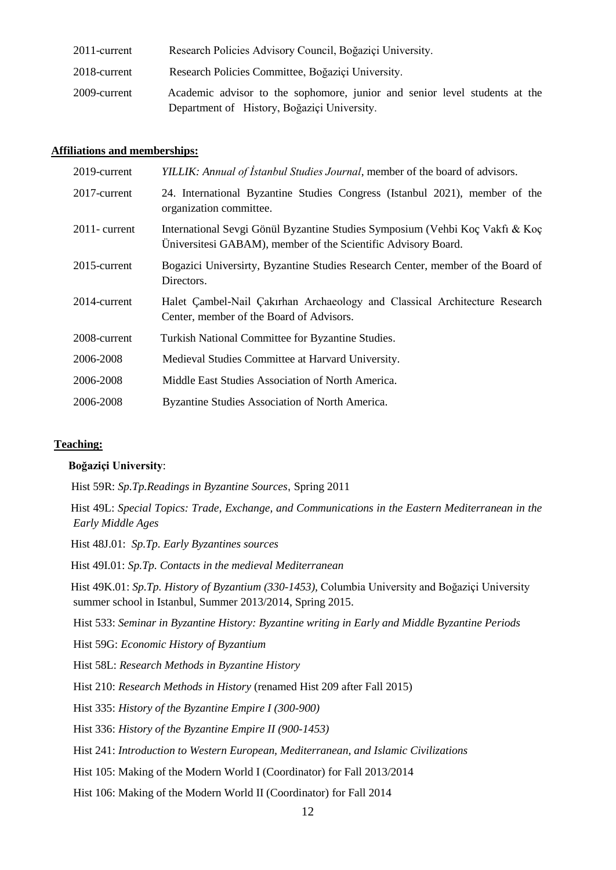| 2011-current | Research Policies Advisory Council, Boğaziçi University.                                                                  |
|--------------|---------------------------------------------------------------------------------------------------------------------------|
| 2018-current | Research Policies Committee, Boğaziçi University.                                                                         |
| 2009-current | Academic advisor to the sophomore, junior and senior level students at the<br>Department of History, Boğaziçi University. |

#### **Affiliations and memberships:**

| 2019-current     | YILLIK: Annual of Istanbul Studies Journal, member of the board of advisors.                                                                  |
|------------------|-----------------------------------------------------------------------------------------------------------------------------------------------|
| 2017-current     | 24. International Byzantine Studies Congress (Istanbul 2021), member of the<br>organization committee.                                        |
| $2011$ - current | International Sevgi Gönül Byzantine Studies Symposium (Vehbi Koç Vakfı & Koç<br>Universitesi GABAM), member of the Scientific Advisory Board. |
| 2015-current     | Bogazici University, Byzantine Studies Research Center, member of the Board of<br>Directors.                                                  |
| 2014-current     | Halet Cambel-Nail Cakırhan Archaeology and Classical Architecture Research<br>Center, member of the Board of Advisors.                        |
| 2008-current     | Turkish National Committee for Byzantine Studies.                                                                                             |
| 2006-2008        | Medieval Studies Committee at Harvard University.                                                                                             |
| 2006-2008        | Middle East Studies Association of North America.                                                                                             |
| 2006-2008        | Byzantine Studies Association of North America.                                                                                               |

#### **Teaching:**

#### **Boğaziçi University**:

Hist 59R: *Sp.Tp.Readings in Byzantine Sources*, Spring 2011

Hist 49L: *Special Topics: Trade, Exchange, and Communications in the Eastern Mediterranean in the Early Middle Ages*

Hist 48J.01: *Sp.Tp. Early Byzantines sources*

Hist 49I.01: *Sp.Tp. Contacts in the medieval Mediterranean*

Hist 49K.01: *Sp.Tp. History of Byzantium (330-1453),* Columbia University and Boğaziçi University summer school in Istanbul, Summer 2013/2014, Spring 2015.

Hist 533: *Seminar in Byzantine History: Byzantine writing in Early and Middle Byzantine Periods*

Hist 59G: *Economic History of Byzantium*

Hist 58L: *Research Methods in Byzantine History*

Hist 210: *Research Methods in History* (renamed Hist 209 after Fall 2015)

Hist 335: *History of the Byzantine Empire I (300-900)*

Hist 336: *History of the Byzantine Empire II (900-1453)*

Hist 241: *Introduction to Western European, Mediterranean, and Islamic Civilizations*

Hist 105: Making of the Modern World I (Coordinator) for Fall 2013/2014

Hist 106: Making of the Modern World II (Coordinator) for Fall 2014